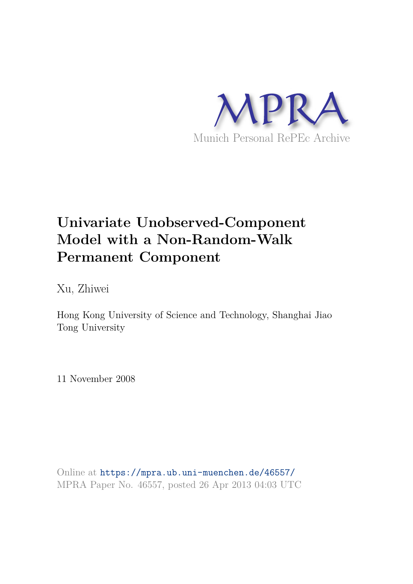

# **Univariate Unobserved-Component Model with a Non-Random-Walk Permanent Component**

Xu, Zhiwei

Hong Kong University of Science and Technology, Shanghai Jiao Tong University

11 November 2008

Online at https://mpra.ub.uni-muenchen.de/46557/ MPRA Paper No. 46557, posted 26 Apr 2013 04:03 UTC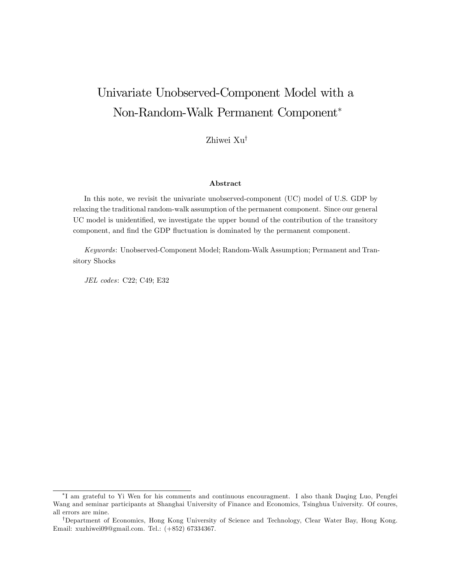## Univariate Unobserved-Component Model with a Non-Random-Walk Permanent Component

Zhiwei  $Xu^{\dagger}$ 

#### Abstract

In this note, we revisit the univariate unobserved-component (UC) model of U.S. GDP by relaxing the traditional random-walk assumption of the permanent component. Since our general UC model is unidentified, we investigate the upper bound of the contribution of the transitory component, and find the GDP fluctuation is dominated by the permanent component.

Keywords: Unobserved-Component Model; Random-Walk Assumption; Permanent and Transitory Shocks

JEL codes: C22; C49; E32

I am grateful to Yi Wen for his comments and continuous encouragment. I also thank Daqing Luo, Pengfei Wang and seminar participants at Shanghai University of Finance and Economics, Tsinghua University. Of coures, all errors are mine.

<sup>&</sup>lt;sup>†</sup>Department of Economics, Hong Kong University of Science and Technology, Clear Water Bay, Hong Kong. Email: xuzhiwei09@gmail.com. Tel.: (+852) 67334367.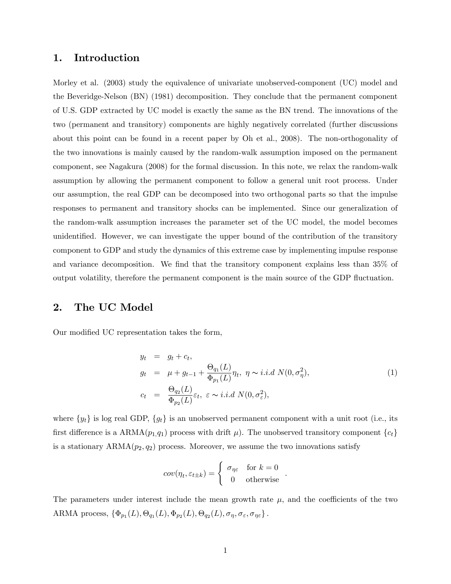#### 1. Introduction

Morley et al. (2003) study the equivalence of univariate unobserved-component (UC) model and the Beveridge-Nelson (BN) (1981) decomposition. They conclude that the permanent component of U.S. GDP extracted by UC model is exactly the same as the BN trend. The innovations of the two (permanent and transitory) components are highly negatively correlated (further discussions about this point can be found in a recent paper by Oh et al., 2008). The non-orthogonality of the two innovations is mainly caused by the random-walk assumption imposed on the permanent component, see Nagakura (2008) for the formal discussion. In this note, we relax the random-walk assumption by allowing the permanent component to follow a general unit root process. Under our assumption, the real GDP can be decomposed into two orthogonal parts so that the impulse responses to permanent and transitory shocks can be implemented. Since our generalization of the random-walk assumption increases the parameter set of the UC model, the model becomes unidentified. However, we can investigate the upper bound of the contribution of the transitory component to GDP and study the dynamics of this extreme case by implementing impulse response and variance decomposition. We find that the transitory component explains less than 35% of output volatility, therefore the permanent component is the main source of the GDP fluctuation.

#### 2. The UC Model

Our modified UC representation takes the form,

$$
y_t = g_t + c_t,
$$
  
\n
$$
g_t = \mu + g_{t-1} + \frac{\Theta_{q_1}(L)}{\Phi_{p_1}(L)} \eta_t, \ \eta \sim i.i.d \ N(0, \sigma_\eta^2),
$$
  
\n
$$
c_t = \frac{\Theta_{q_2}(L)}{\Phi_{p_2}(L)} \varepsilon_t, \ \varepsilon \sim i.i.d \ N(0, \sigma_\varepsilon^2),
$$
\n(1)

:

where  $\{y_t\}$  is log real GDP,  $\{g_t\}$  is an unobserved permanent component with a unit root (i.e., its first difference is a ARMA $(p_1,q_1)$  process with drift  $\mu$ ). The unobserved transitory component  ${c_t}$ is a stationary  $ARMA(p_2, q_2)$  process. Moreover, we assume the two innovations satisfy

$$
cov(\eta_t, \varepsilon_{t\pm k}) = \begin{cases} \sigma_{\eta\varepsilon} & \text{for } k = 0\\ 0 & \text{otherwise} \end{cases}
$$

The parameters under interest include the mean growth rate  $\mu$ , and the coefficients of the two ARMA process,  $\{\Phi_{p_1}(L), \Theta_{q_1}(L), \Phi_{p_2}(L), \Theta_{q_2}(L), \sigma_{\eta}, \sigma_{\varepsilon}, \sigma_{\eta \varepsilon}\}.$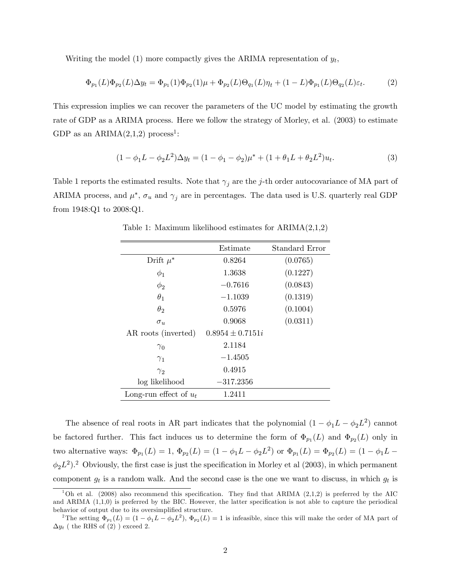Writing the model (1) more compactly gives the ARIMA representation of  $y_t$ ,

$$
\Phi_{p_1}(L)\Phi_{p_2}(L)\Delta y_t = \Phi_{p_1}(1)\Phi_{p_2}(1)\mu + \Phi_{p_2}(L)\Theta_{q_1}(L)\eta_t + (1 - L)\Phi_{p_1}(L)\Theta_{q_2}(L)\varepsilon_t.
$$
 (2)

This expression implies we can recover the parameters of the UC model by estimating the growth rate of GDP as a ARIMA process. Here we follow the strategy of Morley, et al. (2003) to estimate GDP as an  $ARIMA(2,1,2)$  process<sup>1</sup>:

$$
(1 - \phi_1 L - \phi_2 L^2) \Delta y_t = (1 - \phi_1 - \phi_2)\mu^* + (1 + \theta_1 L + \theta_2 L^2)u_t.
$$
\n(3)

Table 1 reports the estimated results. Note that  $\gamma_i$  are the j-th order autocovariance of MA part of ARIMA process, and  $\mu^*$ ,  $\sigma_u$  and  $\gamma_j$  are in percentages. The data used is U.S. quarterly real GDP from 1948:Q1 to 2008:Q1.

|                          | Estimate             | Standard Error |  |
|--------------------------|----------------------|----------------|--|
| Drift $\mu^*$            | 0.8264               | (0.0765)       |  |
| $\phi_1$                 | 1.3638               | (0.1227)       |  |
| $\phi_2$                 | $-0.7616$            | (0.0843)       |  |
| $\theta_1$               | $-1.1039$            | (0.1319)       |  |
| $\theta_2$               | 0.5976               | (0.1004)       |  |
| $\sigma_u$               | 0.9068               | (0.0311)       |  |
| AR roots (inverted)      | $0.8954 \pm 0.7151i$ |                |  |
| $\gamma_0$               | 2.1184               |                |  |
| $\gamma_1$               | $-1.4505$            |                |  |
| $\gamma_{2}$             | 0.4915               |                |  |
| log likelihood           | $-317.2356$          |                |  |
| Long-run effect of $u_t$ | 1.2411               |                |  |

Table 1: Maximum likelihood estimates for ARIMA(2,1,2)

The absence of real roots in AR part indicates that the polynomial  $(1 - \phi_1 L - \phi_2 L^2)$  cannot be factored further. This fact induces us to determine the form of  $\Phi_{p_1}(L)$  and  $\Phi_{p_2}(L)$  only in two alternative ways:  $\Phi_{p_1}(L) = 1$ ,  $\Phi_{p_2}(L) = (1 - \phi_1 L - \phi_2 L^2)$  or  $\Phi_{p_1}(L) = \Phi_{p_2}(L) = (1 - \phi_1 L - \phi_2 L^2)$  $\phi_2 L^2$ ).<sup>2</sup> Obviously, the first case is just the specification in Morley et al (2003), in which permanent component  $g_t$  is a random walk. And the second case is the one we want to discuss, in which  $g_t$  is

<sup>&</sup>lt;sup>1</sup>Oh et al. (2008) also recommend this specification. They find that ARIMA (2,1,2) is preferred by the AIC and ARIMA  $(1,1,0)$  is preferred by the BIC. However, the latter specification is not able to capture the periodical behavior of output due to its oversimplified structure.

<sup>&</sup>lt;sup>2</sup>The setting  $\Phi_{p_1}(L) = (1 - \phi_1 L - \phi_2 L^2), \Phi_{p_2}(L) = 1$  is infeasible, since this will make the order of MA part of  $\Delta y_t$  ( the RHS of (2) ) exceed 2.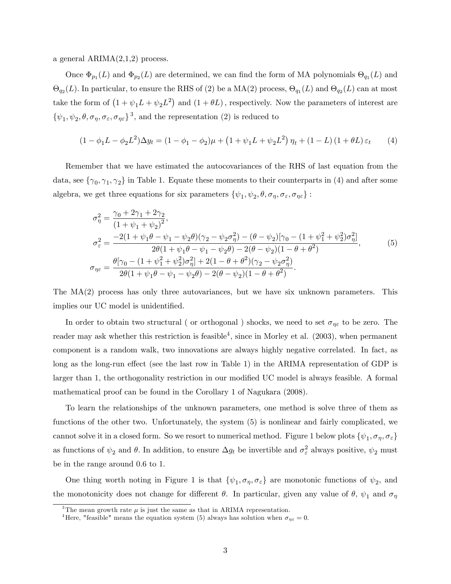a general ARIMA(2,1,2) process.

Once  $\Phi_{p_1}(L)$  and  $\Phi_{p_2}(L)$  are determined, we can find the form of MA polynomials  $\Theta_{q_1}(L)$  and  $\Theta_{q_2}(L)$ . In particular, to ensure the RHS of (2) be a MA(2) process,  $\Theta_{q_1}(L)$  and  $\Theta_{q_2}(L)$  can at most take the form of  $(1 + \psi_1 L + \psi_2 L^2)$  and  $(1 + \theta L)$ , respectively. Now the parameters of interest are  $\{\psi_1, \psi_2, \theta, \sigma_{\eta}, \sigma_{\varepsilon}, \sigma_{\eta \varepsilon}\}^3$ , and the representation (2) is reduced to

$$
(1 - \phi_1 L - \phi_2 L^2) \Delta y_t = (1 - \phi_1 - \phi_2)\mu + (1 + \psi_1 L + \psi_2 L^2) \eta_t + (1 - L)(1 + \theta L)\varepsilon_t \tag{4}
$$

Remember that we have estimated the autocovariances of the RHS of last equation from the data, see  $\{\gamma_0, \gamma_1, \gamma_2\}$  in Table 1. Equate these moments to their counterparts in (4) and after some algebra, we get three equations for six parameters  $\{\psi_1, \psi_2, \theta, \sigma_\eta, \sigma_\varepsilon, \sigma_{\eta\varepsilon}\}$ :

$$
\sigma_{\eta}^{2} = \frac{\gamma_{0} + 2\gamma_{1} + 2\gamma_{2}}{(1 + \psi_{1} + \psi_{2})^{2}},
$$
\n
$$
\sigma_{\varepsilon}^{2} = \frac{-2(1 + \psi_{1}\theta - \psi_{1} - \psi_{2}\theta)(\gamma_{2} - \psi_{2}\sigma_{\eta}^{2}) - (\theta - \psi_{2})[\gamma_{0} - (1 + \psi_{1}^{2} + \psi_{2}^{2})\sigma_{\eta}^{2}]}{2\theta(1 + \psi_{1}\theta - \psi_{1} - \psi_{2}\theta) - 2(\theta - \psi_{2})(1 - \theta + \theta^{2})},
$$
\n
$$
\sigma_{\eta\varepsilon} = \frac{\theta[\gamma_{0} - (1 + \psi_{1}^{2} + \psi_{2}^{2})\sigma_{\eta}^{2}] + 2(1 - \theta + \theta^{2})(\gamma_{2} - \psi_{2}\sigma_{\eta}^{2})}{2\theta(1 + \psi_{1}\theta - \psi_{1} - \psi_{2}\theta) - 2(\theta - \psi_{2})(1 - \theta + \theta^{2})}.
$$
\n(5)

The MA(2) process has only three autovariances, but we have six unknown parameters. This implies our UC model is unidentified.

In order to obtain two structural ( or orthogonal ) shocks, we need to set  $\sigma_{\eta\epsilon}$  to be zero. The reader may ask whether this restriction is feasible<sup>4</sup>, since in Morley et al. (2003), when permanent component is a random walk, two innovations are always highly negative correlated. In fact, as long as the long-run effect (see the last row in Table 1) in the ARIMA representation of GDP is larger than 1, the orthogonality restriction in our modified UC model is always feasible. A formal mathematical proof can be found in the Corollary 1 of Nagukara (2008).

To learn the relationships of the unknown parameters, one method is solve three of them as functions of the other two. Unfortunately, the system (5) is nonlinear and fairly complicated, we cannot solve it in a closed form. So we resort to numerical method. Figure 1 below plots  $\{\psi_1, \sigma_\eta, \sigma_\varepsilon\}$ as functions of  $\psi_2$  and  $\theta$ . In addition, to ensure  $\Delta g_t$  be invertible and  $\sigma_\varepsilon^2$  always positive,  $\psi_2$  must be in the range around 0:6 to 1.

One thing worth noting in Figure 1 is that  $\{\psi_1, \sigma_\eta, \sigma_\varepsilon\}$  are monotonic functions of  $\psi_2$ , and the monotonicity does not change for different  $\theta$ . In particular, given any value of  $\theta$ ,  $\psi_1$  and  $\sigma_\eta$ 

<sup>&</sup>lt;sup>3</sup>The mean growth rate  $\mu$  is just the same as that in ARIMA representation.

<sup>&</sup>lt;sup>4</sup>Here, "feasible" means the equation system (5) always has solution when  $\sigma_{n\varepsilon} = 0$ .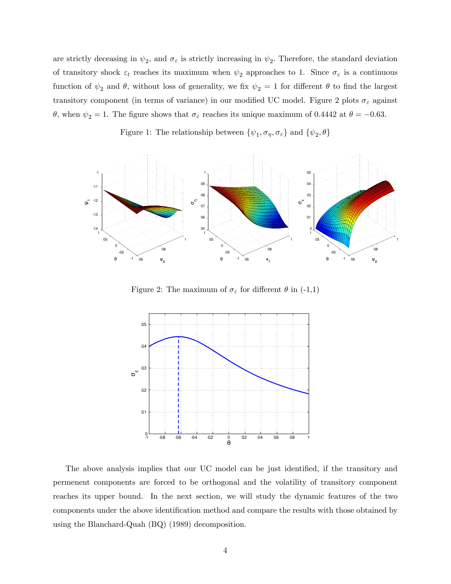are strictly deceasing in  $\psi_2$ , and  $\sigma_{\varepsilon}$  is strictly increasing in  $\psi_2$ . Therefore, the standard deviation of transitory shock  $\varepsilon_t$  reaches its maximum when  $\psi_2$  approaches to 1. Since  $\sigma_{\varepsilon}$  is a continuous function of  $\psi_2$  and  $\theta$ , without loss of generality, we fix  $\psi_2 = 1$  for different  $\theta$  to find the largest transitory component (in terms of variance) in our modified UC model. Figure 2 plots  $\sigma_{\varepsilon}$  against  $\theta$ , when  $\psi_2 = 1$ . The figure shows that  $\sigma_{\varepsilon}$  reaches its unique maximum of 0.4442 at  $\theta = -0.63$ .

Figure 1: The relationship between  $\{\psi_1, \sigma_\eta, \sigma_\varepsilon\}$  and  $\{\psi_2, \theta\}$ 



Figure 2: The maximum of  $\sigma_{\varepsilon}$  for different  $\theta$  in (-1,1)



The above analysis implies that our UC model can be just identified, if the transitory and permenent components are forced to be orthogonal and the volatility of transitory component reaches its upper bound. In the next section, we will study the dynamic features of the two components under the above identification method and compare the results with those obtained by using the Blanchard-Quah (BQ) (1989) decomposition.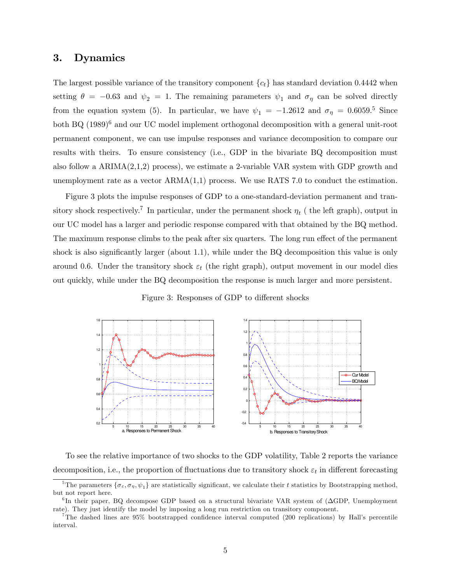#### 3. Dynamics

The largest possible variance of the transitory component  $\{c_t\}$  has standard deviation 0.4442 when setting  $\theta = -0.63$  and  $\psi_2 = 1$ . The remaining parameters  $\psi_1$  and  $\sigma_\eta$  can be solved directly from the equation system (5). In particular, we have  $\psi_1 = -1.2612$  and  $\sigma_{\eta} = 0.6059$ .<sup>5</sup> Since both BQ (1989)<sup>6</sup> and our UC model implement orthogonal decomposition with a general unit-root permanent component, we can use impulse responses and variance decomposition to compare our results with theirs. To ensure consistency (i.e., GDP in the bivariate BQ decomposition must also follow a  $ARIMA(2,1,2)$  process), we estimate a 2-variable VAR system with GDP growth and unemployment rate as a vector  $ARMA(1,1)$  process. We use RATS 7.0 to conduct the estimation.

Figure 3 plots the impulse responses of GDP to a one-standard-deviation permanent and transitory shock respectively.<sup>7</sup> In particular, under the permanent shock  $\eta_t$  ( the left graph), output in our UC model has a larger and periodic response compared with that obtained by the BQ method. The maximum response climbs to the peak after six quarters. The long run effect of the permanent shock is also significantly larger (about 1.1), while under the BQ decomposition this value is only around 0.6. Under the transitory shock  $\varepsilon_t$  (the right graph), output movement in our model dies out quickly, while under the BQ decomposition the response is much larger and more persistent.

Figure 3: Responses of GDP to different shocks



To see the relative importance of two shocks to the GDP volatility, Table 2 reports the variance decomposition, i.e., the proportion of fluctuations due to transitory shock  $\varepsilon_t$  in different forecasting

<sup>&</sup>lt;sup>5</sup>The parameters  $\{\sigma_{\varepsilon}, \sigma_{\eta}, \psi_{1}\}$  are statistically significant, we calculate their t statistics by Bootstrapping method, but not report here.

 ${}^{6}$ In their paper, BQ decompose GDP based on a structural bivariate VAR system of ( $\Delta$ GDP, Unemployment rate). They just identify the model by imposing a long run restriction on transitory component.

<sup>&</sup>lt;sup>7</sup>The dashed lines are  $95\%$  bootstrapped confidence interval computed (200 replications) by Hall's percentile interval.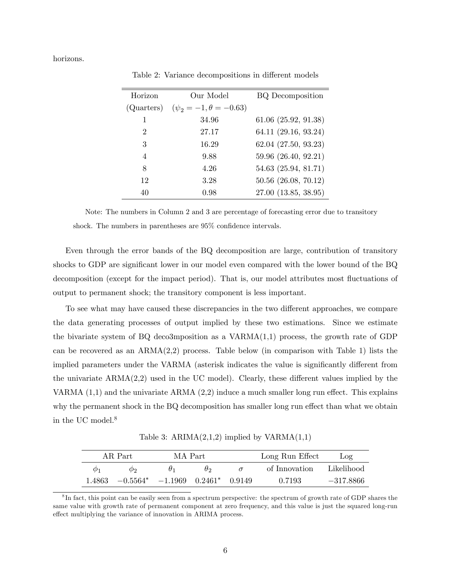horizons.

ł.

| Horizon        | Our Model                       | <b>BQ</b> Decomposition  |  |
|----------------|---------------------------------|--------------------------|--|
| (Quarters)     | $(\psi_2 = -1, \theta = -0.63)$ |                          |  |
| 1              | 34.96                           | $61.06$ $(25.92, 91.38)$ |  |
| $\mathfrak{D}$ | 27.17                           | 64.11 (29.16, 93.24)     |  |
| 3              | 16.29                           | 62.04 (27.50, 93.23)     |  |
| $\overline{4}$ | 9.88                            | 59.96 (26.40, 92.21)     |  |
| 8              | 4.26                            | 54.63 (25.94, 81.71)     |  |
| 12             | 3.28                            | 50.56 (26.08, 70.12)     |  |
| 40             | 0.98                            | 27.00 (13.85, 38.95)     |  |

Table 2: Variance decompositions in different models

Note: The numbers in Column 2 and 3 are percentage of forecasting error due to transitory shock. The numbers in parentheses are  $95\%$  confidence intervals.

Even through the error bands of the BQ decomposition are large, contribution of transitory shocks to GDP are significant lower in our model even compared with the lower bound of the BQ decomposition (except for the impact period). That is, our model attributes most fluctuations of output to permanent shock; the transitory component is less important.

To see what may have caused these discrepancies in the two different approaches, we compare the data generating processes of output implied by these two estimations. Since we estimate the bivariate system of BQ deco3mposition as a  $VARMA(1,1)$  process, the growth rate of GDP can be recovered as an ARMA(2,2) process. Table below (in comparison with Table 1) lists the implied parameters under the VARMA (asterisk indicates the value is significantly different from the univariate  $ARMA(2,2)$  used in the UC model). Clearly, these different values implied by the VARMA  $(1,1)$  and the univariate ARMA  $(2,2)$  induce a much smaller long run effect. This explains why the permanent shock in the  $BQ$  decomposition has smaller long run effect than what we obtain in the UC model.<sup>8</sup>

Table 3:  $ARIMA(2,1,2)$  implied by  $VARMA(1,1)$ 

| AR Part     |                                               | MA Part |    | Long Run Effect | Log         |
|-------------|-----------------------------------------------|---------|----|-----------------|-------------|
| $\varphi_1$ | $\mathcal{O}_2$                               | $H_1$   | Hэ | of Innovation   | Likelihood  |
| 1.4863-     | $-0.5564* -1.1969 \quad 0.2461* \quad 0.9149$ |         |    | 0.7193          | $-317.8866$ |

<sup>&</sup>lt;sup>8</sup>In fact, this point can be easily seen from a spectrum perspective: the spectrum of growth rate of GDP shares the same value with growth rate of permanent component at zero frequency, and this value is just the squared long-run effect multiplying the variance of innovation in ARIMA process.